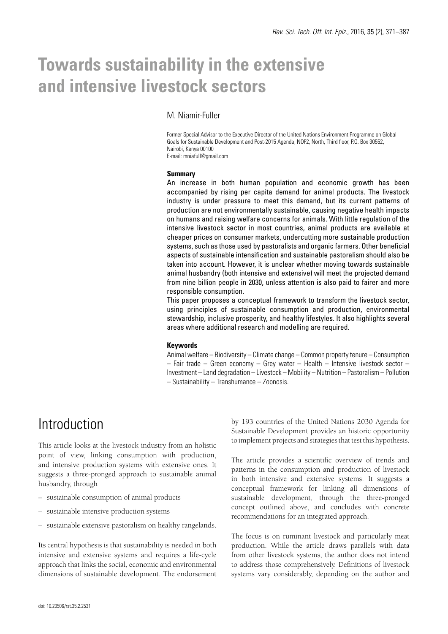# **Towards sustainability in the extensive and intensive livestock sectors**

### M. Niamir-Fuller

Former Special Advisor to the Executive Director of the United Nations Environment Programme on Global Goals for Sustainable Development and Post-2015 Agenda, NOF2, North, Third floor, P.O. Box 30552, Nairobi, Kenya 00100 E-mail: mniafull@gmail.com

#### **Summary**

An increase in both human population and economic growth has been accompanied by rising per capita demand for animal products. The livestock industry is under pressure to meet this demand, but its current patterns of production are not environmentally sustainable, causing negative health impacts on humans and raising welfare concerns for animals. With little regulation of the intensive livestock sector in most countries, animal products are available at cheaper prices on consumer markets, undercutting more sustainable production systems, such as those used by pastoralists and organic farmers. Other beneficial aspects of sustainable intensification and sustainable pastoralism should also be taken into account. However, it is unclear whether moving towards sustainable animal husbandry (both intensive and extensive) will meet the projected demand from nine billion people in 2030, unless attention is also paid to fairer and more responsible consumption.

This paper proposes a conceptual framework to transform the livestock sector, using principles of sustainable consumption and production, environmental stewardship, inclusive prosperity, and healthy lifestyles. It also highlights several areas where additional research and modelling are required.

### **Keywords**

Animal welfare – Biodiversity – Climate change – Common property tenure – Consumption – Fair trade – Green economy – Grey water – Health – Intensive livestock sector – Investment – Land degradation – Livestock – Mobility – Nutrition – Pastoralism – Pollution – Sustainability – Transhumance – Zoonosis.

## **Introduction**

This article looks at the livestock industry from an holistic point of view, linking consumption with production, and intensive production systems with extensive ones. It suggests a three-pronged approach to sustainable animal husbandry, through

- sustainable consumption of animal products
- sustainable intensive production systems
- sustainable extensive pastoralism on healthy rangelands.

Its central hypothesis is that sustainability is needed in both intensive and extensive systems and requires a life-cycle approach that links the social, economic and environmental dimensions of sustainable development. The endorsement by 193 countries of the United Nations 2030 Agenda for Sustainable Development provides an historic opportunity to implement projects and strategies that test this hypothesis.

The article provides a scientific overview of trends and patterns in the consumption and production of livestock in both intensive and extensive systems. It suggests a conceptual framework for linking all dimensions of sustainable development, through the three-pronged concept outlined above, and concludes with concrete recommendations for an integrated approach.

The focus is on ruminant livestock and particularly meat production. While the article draws parallels with data from other livestock systems, the author does not intend to address those comprehensively. Definitions of livestock systems vary considerably, depending on the author and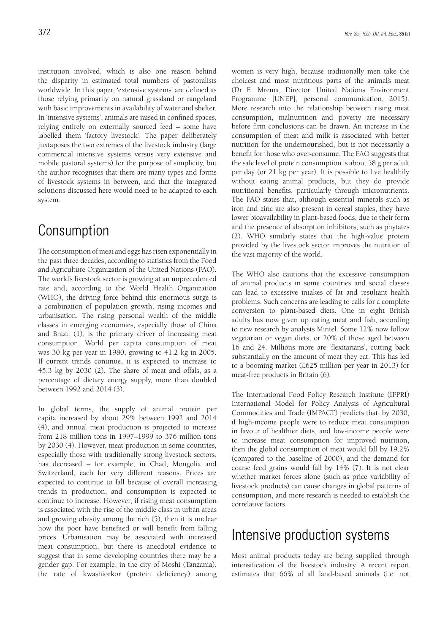institution involved, which is also one reason behind the disparity in estimated total numbers of pastoralists worldwide. In this paper, 'extensive systems' are defined as those relying primarily on natural grassland or rangeland with basic improvements in availability of water and shelter. In 'intensive systems', animals are raised in confined spaces, relying entirely on externally sourced feed – some have labelled them 'factory livestock'. The paper deliberately juxtaposes the two extremes of the livestock industry (large commercial intensive systems versus very extensive and mobile pastoral systems) for the purpose of simplicity, but the author recognises that there are many types and forms of livestock systems in between, and that the integrated solutions discussed here would need to be adapted to each system.

## Consumption

The consumption of meat and eggs has risen exponentially in the past three decades, according to statistics from the Food and Agriculture Organization of the United Nations (FAO). The world's livestock sector is growing at an unprecedented rate and, according to the World Health Organization (WHO), the driving force behind this enormous surge is a combination of population growth, rising incomes and urbanisation. The rising personal wealth of the middle classes in emerging economies, especially those of China and Brazil (1), is the primary driver of increasing meat consumption. World per capita consumption of meat was 30 kg per year in 1980, growing to 41.2 kg in 2005. If current trends continue, it is expected to increase to 45.3 kg by 2030 (2). The share of meat and offals, as a percentage of dietary energy supply, more than doubled between 1992 and 2014 (3).

In global terms, the supply of animal protein per capita increased by about 29% between 1992 and 2014 (4), and annual meat production is projected to increase from 218 million tons in 1997–1999 to 376 million tons by 2030 (4). However, meat production in some countries, especially those with traditionally strong livestock sectors, has decreased – for example, in Chad, Mongolia and Switzerland, each for very different reasons. Prices are expected to continue to fall because of overall increasing trends in production, and consumption is expected to continue to increase. However, if rising meat consumption is associated with the rise of the middle class in urban areas and growing obesity among the rich (5), then it is unclear how the poor have benefited or will benefit from falling prices. Urbanisation may be associated with increased meat consumption, but there is anecdotal evidence to suggest that in some developing countries there may be a gender gap. For example, in the city of Moshi (Tanzania), the rate of kwashiorkor (protein deficiency) among women is very high, because traditionally men take the choicest and most nutritious parts of the animal's meat (Dr E. Mrema, Director, United Nations Environment Programme [UNEP], personal communication, 2015). More research into the relationship between rising meat consumption, malnutrition and poverty are necessary before firm conclusions can be drawn. An increase in the consumption of meat and milk is associated with better nutrition for the undernourished, but is not necessarily a benefit for those who over-consume. The FAO suggests that the safe level of protein consumption is about 58 g per adult per day (or 21 kg per year). It is possible to live healthily without eating animal products, but they do provide nutritional benefits, particularly through micronutrients. The FAO states that, although essential minerals such as iron and zinc are also present in cereal staples, they have lower bioavailability in plant-based foods, due to their form and the presence of absorption inhibitors, such as phytates (2). WHO similarly states that the high-value protein provided by the livestock sector improves the nutrition of the vast majority of the world.

The WHO also cautions that the excessive consumption of animal products in some countries and social classes can lead to excessive intakes of fat and resultant health problems. Such concerns are leading to calls for a complete conversion to plant-based diets. One in eight British adults has now given up eating meat and fish, according to new research by analysts Mintel. Some 12% now follow vegetarian or vegan diets, or 20% of those aged between 16 and 24. Millions more are 'flexitarians', cutting back substantially on the amount of meat they eat. This has led to a booming market (£625 million per year in 2013) for meat-free products in Britain (6).

The International Food Policy Research Institute (IFPRI) International Model for Policy Analysis of Agricultural Commodities and Trade (IMPACT) predicts that, by 2030, if high-income people were to reduce meat consumption in favour of healthier diets, and low-income people were to increase meat consumption for improved nutrition, then the global consumption of meat would fall by 19.2% (compared to the baseline of 2000), and the demand for coarse feed grains would fall by 14% (7). It is not clear whether market forces alone (such as price variability of livestock products) can cause changes in global patterns of consumption, and more research is needed to establish the correlative factors.

## Intensive production systems

Most animal products today are being supplied through intensification of the livestock industry. A recent report estimates that 66% of all land-based animals (i.e. not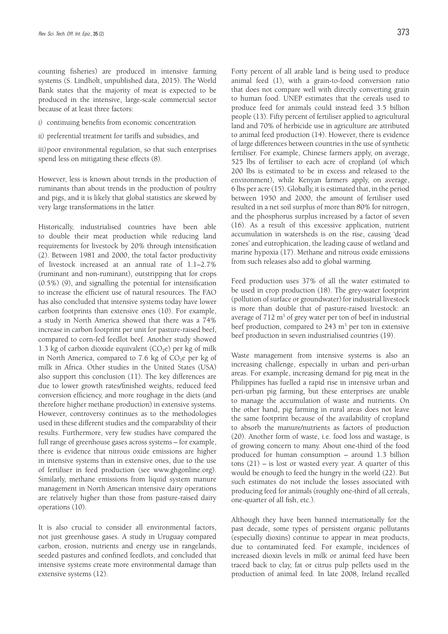counting fisheries) are produced in intensive farming systems (S. Lindholt, unpublished data, 2015). The World Bank states that the majority of meat is expected to be produced in the intensive, large-scale commercial sector because of at least three factors:

- *i)* continuing benefits from economic concentration
- *ii)* preferential treatment for tariffs and subsidies, and

*iii)*poor environmental regulation, so that such enterprises spend less on mitigating these effects (8).

However, less is known about trends in the production of ruminants than about trends in the production of poultry and pigs, and it is likely that global statistics are skewed by very large transformations in the latter.

Historically, industrialised countries have been able to double their meat production while reducing land requirements for livestock by 20% through intensification (2). Between 1981 and 2000, the total factor productivity of livestock increased at an annual rate of 1.1–2.7% (ruminant and non-ruminant), outstripping that for crops (0.5%) (9), and signalling the potential for intensification to increase the efficient use of natural resources. The FAO has also concluded that intensive systems today have lower carbon footprints than extensive ones (10). For example, a study in North America showed that there was a 74% increase in carbon footprint per unit for pasture-raised beef, compared to corn-fed feedlot beef. Another study showed 1.3 kg of carbon dioxide equivalent  $(CO_2e)$  per kg of milk in North America, compared to 7.6 kg of  $CO<sub>2</sub>e$  per kg of milk in Africa. Other studies in the United States (USA) also support this conclusion (11). The key differences are due to lower growth rates/finished weights, reduced feed conversion efficiency, and more roughage in the diets (and therefore higher methane production) in extensive systems. However, controversy continues as to the methodologies used in these different studies and the comparability of their results. Furthermore, very few studies have compared the full range of greenhouse gases across systems – for example, there is evidence that nitrous oxide emissions are higher in intensive systems than in extensive ones, due to the use of fertiliser in feed production (see www.ghgonline.org). Similarly, methane emissions from liquid system manure management in North American intensive dairy operations are relatively higher than those from pasture-raised dairy operations (10).

It is also crucial to consider all environmental factors, not just greenhouse gases. A study in Uruguay compared carbon, erosion, nutrients and energy use in rangelands, seeded pastures and confined feedlots, and concluded that intensive systems create more environmental damage than extensive systems (12).

Forty percent of all arable land is being used to produce animal feed (1), with a grain-to-food conversion ratio that does not compare well with directly converting grain to human food. UNEP estimates that the cereals used to produce feed for animals could instead feed 3.5 billion people (13). Fifty percent of fertiliser applied to agricultural land and 70% of herbicide use in agriculture are attributed to animal feed production (14). However, there is evidence of large differences between countries in the use of synthetic fertiliser. For example, Chinese farmers apply, on average, 525 lbs of fertiliser to each acre of cropland (of which 200 lbs is estimated to be in excess and released to the environment), while Kenyan farmers apply, on average, 6 lbs per acre (15). Globally, it is estimated that, in the period between 1950 and 2000, the amount of fertiliser used resulted in a net soil surplus of more than 80% for nitrogen, and the phosphorus surplus increased by a factor of seven (16). As a result of this excessive application, nutrient accumulation in watersheds is on the rise, causing 'dead zones' and eutrophication, the leading cause of wetland and marine hypoxia (17). Methane and nitrous oxide emissions from such releases also add to global warming.

Feed production uses 37% of all the water estimated to be used in crop production (18). The grey-water footprint (pollution of surface or groundwater) for industrial livestock is more than double that of pasture-raised livestock: an average of  $712 \text{ m}^3$  of grey water per ton of beef in industrial beef production, compared to  $243 \text{ m}^3$  per ton in extensive beef production in seven industrialised countries (19).

Waste management from intensive systems is also an increasing challenge, especially in urban and peri-urban areas. For example, increasing demand for pig meat in the Philippines has fuelled a rapid rise in intensive urban and peri-urban pig farming, but these enterprises are unable to manage the accumulation of waste and nutrients. On the other hand, pig farming in rural areas does not leave the same footprint because of the availability of cropland to absorb the manure/nutrients as factors of production (20). Another form of waste, i.e. food loss and wastage, is of growing concern to many. About one-third of the food produced for human consumption – around 1.3 billion tons (21) – is lost or wasted every year. A quarter of this would be enough to feed the hungry in the world (22). But such estimates do not include the losses associated with producing feed for animals (roughly one-third of all cereals, one-quarter of all fish, etc.).

Although they have been banned internationally for the past decade, some types of persistent organic pollutants (especially dioxins) continue to appear in meat products, due to contaminated feed. For example, incidences of increased dioxin levels in milk or animal feed have been traced back to clay, fat or citrus pulp pellets used in the production of animal feed. In late 2008, Ireland recalled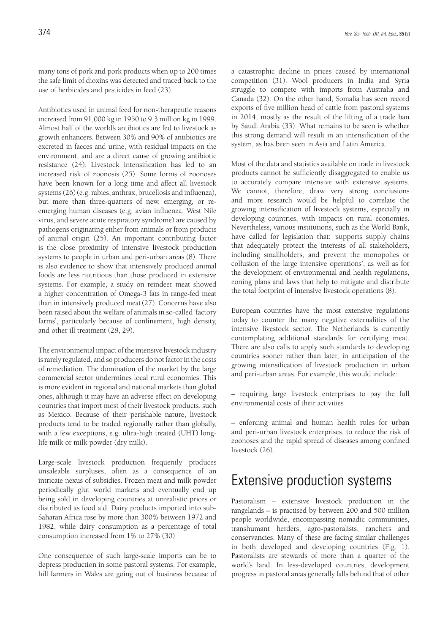many tons of pork and pork products when up to 200 times the safe limit of dioxins was detected and traced back to the use of herbicides and pesticides in feed (23).

Antibiotics used in animal feed for non-therapeutic reasons increased from 91,000 kg in 1950 to 9.3 million kg in 1999. Almost half of the world's antibiotics are fed to livestock as growth enhancers. Between 30% and 90% of antibiotics are excreted in faeces and urine, with residual impacts on the environment, and are a direct cause of growing antibiotic resistance (24). Livestock intensification has led to an increased risk of zoonosis (25). Some forms of zoonoses have been known for a long time and affect all livestock systems (26) (e.g. rabies, anthrax, brucellosis and influenza), but more than three-quarters of new, emerging, or reemerging human diseases (e.g. avian influenza, West Nile virus, and severe acute respiratory syndrome) are caused by pathogens originating either from animals or from products of animal origin (25). An important contributing factor is the close proximity of intensive livestock production systems to people in urban and peri-urban areas (8). There is also evidence to show that intensively produced animal foods are less nutritious than those produced in extensive systems. For example, a study on reindeer meat showed a higher concentration of Omega-3 fats in range-fed meat than in intensively produced meat(27). Concerns have also been raised about the welfare of animals in so-called 'factory farms', particularly because of confinement, high density, and other ill treatment (28, 29).

The environmental impact of the intensive livestock industry is rarely regulated, and so producers do not factor in the costs of remediation. The domination of the market by the large commercial sector undermines local rural economies. This is more evident in regional and national markets than global ones, although it may have an adverse effect on developing countries that import most of their livestock products, such as Mexico. Because of their perishable nature, livestock products tend to be traded regionally rather than globally, with a few exceptions, e.g. ultra-high treated (UHT) longlife milk or milk powder (dry milk).

Large-scale livestock production frequently produces unsaleable surpluses, often as a consequence of an intricate nexus of subsidies. Frozen meat and milk powder periodically glut world markets and eventually end up being sold in developing countries at unrealistic prices or distributed as food aid. Dairy products imported into sub-Saharan Africa rose by more than 300% between 1972 and 1982, while dairy consumption as a percentage of total consumption increased from 1% to 27% (30).

One consequence of such large-scale imports can be to depress production in some pastoral systems. For example, hill farmers in Wales are going out of business because of a catastrophic decline in prices caused by international competition (31). Wool producers in India and Syria struggle to compete with imports from Australia and Canada (32). On the other hand, Somalia has seen record exports of five million head of cattle from pastoral systems in 2014, mostly as the result of the lifting of a trade ban by Saudi Arabia (33). What remains to be seen is whether this strong demand will result in an intensification of the system, as has been seen in Asia and Latin America.

Most of the data and statistics available on trade in livestock products cannot be sufficiently disaggregated to enable us to accurately compare intensive with extensive systems. We cannot, therefore, draw very strong conclusions and more research would be helpful to correlate the growing intensification of livestock systems, especially in developing countries, with impacts on rural economies. Nevertheless, various institutions, such as the World Bank, have called for legislation that: 'supports supply chains that adequately protect the interests of all stakeholders, including smallholders, and prevent the monopolies or collusion of the large intensive operations', as well as for the development of environmental and health regulations, zoning plans and laws that help to mitigate and distribute the total footprint of intensive livestock operations (8).

European countries have the most extensive regulations today to counter the many negative externalities of the intensive livestock sector. The Netherlands is currently contemplating additional standards for certifying meat. There are also calls to apply such standards to developing countries sooner rather than later, in anticipation of the growing intensification of livestock production in urban and peri-urban areas. For example, this would include:

*–* requiring large livestock enterprises to pay the full environmental costs of their activities

*–* enforcing animal and human health rules for urban and peri-urban livestock enterprises, to reduce the risk of zoonoses and the rapid spread of diseases among confined livestock (26).

## Extensive production systems

Pastoralism – extensive livestock production in the rangelands – is practised by between 200 and 500 million people worldwide, encompassing nomadic communities, transhumant herders, agro-pastoralists, ranchers and conservancies. Many of these are facing similar challenges in both developed and developing countries (Fig. 1). Pastoralists are stewards of more than a quarter of the world's land. In less-developed countries, development progress in pastoral areas generally falls behind that of other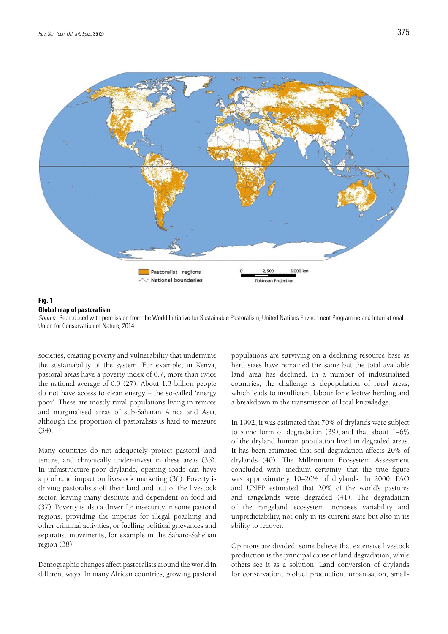



### **Fig. 1 Global map of pastoralism**

*Source* : Reproduced with permission from the World Initiative for Sustainable Pastoralism, United Nations Environment Programme and International Union for Conservation of Nature, 2014

societies, creating poverty and vulnerability that undermine the sustainability of the system. For example, in Kenya, pastoral areas have a poverty index of 0.7, more than twice the national average of 0.3 (27). About 1.3 billion people do not have access to clean energy – the so-called 'energy poor'. These are mostly rural populations living in remote and marginalised areas of sub-Saharan Africa and Asia, although the proportion of pastoralists is hard to measure (34).

Many countries do not adequately protect pastoral land tenure, and chronically under-invest in these areas (35). In infrastructure-poor drylands, opening roads can have a profound impact on livestock marketing (36). Poverty is driving pastoralists off their land and out of the livestock sector, leaving many destitute and dependent on food aid (37). Poverty is also a driver for insecurity in some pastoral regions, providing the impetus for illegal poaching and other criminal activities, or fuelling political grievances and separatist movements, for example in the Saharo-Sahelian region (38).

Demographic changes affect pastoralists around the world in different ways. In many African countries, growing pastoral populations are surviving on a declining resource base as herd sizes have remained the same but the total available land area has declined. In a number of industrialised countries, the challenge is depopulation of rural areas, which leads to insufficient labour for effective herding and a breakdown in the transmission of local knowledge.

In 1992, it was estimated that 70% of drylands were subject to some form of degradation (39), and that about 1–6% of the dryland human population lived in degraded areas. It has been estimated that soil degradation affects 20% of drylands (40). The Millennium Ecosystem Assessment concluded with 'medium certainty' that the true figure was approximately 10–20% of drylands. In 2000, FAO and UNEP estimated that 20% of the world's pastures and rangelands were degraded (41). The degradation of the rangeland ecosystem increases variability and unpredictability, not only in its current state but also in its ability to recover.

Opinions are divided: some believe that extensive livestock production is the principal cause of land degradation, while others see it as a solution. Land conversion of drylands for conservation, biofuel production, urbanisation, small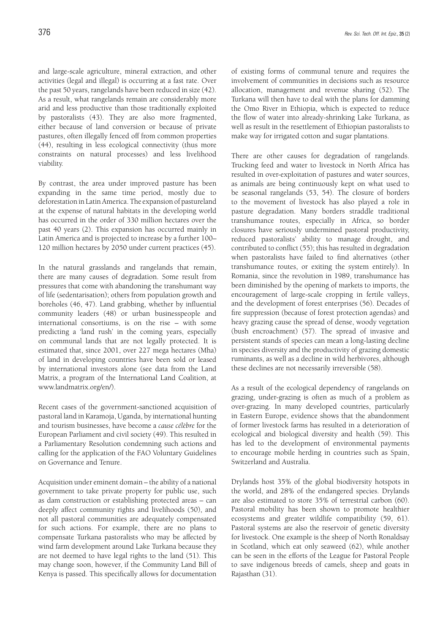and large-scale agriculture, mineral extraction, and other activities (legal and illegal) is occurring at a fast rate. Over the past 50 years, rangelands have been reduced in size (42). As a result, what rangelands remain are considerably more arid and less productive than those traditionally exploited by pastoralists (43). They are also more fragmented, either because of land conversion or because of private pastures, often illegally fenced off from common properties (44), resulting in less ecological connectivity (thus more constraints on natural processes) and less livelihood viability.

By contrast, the area under improved pasture has been expanding in the same time period, mostly due to deforestation in Latin America. The expansion of pastureland at the expense of natural habitats in the developing world has occurred in the order of 330 million hectares over the past 40 years (2). This expansion has occurred mainly in Latin America and is projected to increase by a further 100– 120 million hectares by 2050 under current practices (45).

In the natural grasslands and rangelands that remain, there are many causes of degradation. Some result from pressures that come with abandoning the transhumant way of life (sedentarisation); others from population growth and boreholes (46, 47). Land grabbing, whether by influential community leaders (48) or urban businesspeople and international consortiums, is on the rise – with some predicting a 'land rush' in the coming years, especially on communal lands that are not legally protected. It is estimated that, since 2001, over 227 mega hectares (Mha) of land in developing countries have been sold or leased by international investors alone (see data from the Land Matrix, a program of the International Land Coalition, at www.landmatrix.org/en/).

Recent cases of the government-sanctioned acquisition of pastoral land in Karamoja, Uganda, by international hunting and tourism businesses, have become a *cause célèbre* for the European Parliament and civil society (49). This resulted in a Parliamentary Resolution condemning such actions and calling for the application of the FAO Voluntary Guidelines on Governance and Tenure.

Acquisition under eminent domain – the ability of a national government to take private property for public use, such as dam construction or establishing protected areas – can deeply affect community rights and livelihoods (50), and not all pastoral communities are adequately compensated for such actions. For example, there are no plans to compensate Turkana pastoralists who may be affected by wind farm development around Lake Turkana because they are not deemed to have legal rights to the land (51). This may change soon, however, if the Community Land Bill of Kenya is passed. This specifically allows for documentation

of existing forms of communal tenure and requires the involvement of communities in decisions such as resource allocation, management and revenue sharing (52). The Turkana will then have to deal with the plans for damming the Omo River in Ethiopia, which is expected to reduce the flow of water into already-shrinking Lake Turkana, as well as result in the resettlement of Ethiopian pastoralists to make way for irrigated cotton and sugar plantations.

There are other causes for degradation of rangelands. Trucking feed and water to livestock in North Africa has resulted in over-exploitation of pastures and water sources, as animals are being continuously kept on what used to be seasonal rangelands (53, 54). The closure of borders to the movement of livestock has also played a role in pasture degradation. Many borders straddle traditional transhumance routes, especially in Africa, so border closures have seriously undermined pastoral productivity, reduced pastoralists' ability to manage drought, and contributed to conflict (55); this has resulted in degradation when pastoralists have failed to find alternatives (other transhumance routes, or exiting the system entirely). In Romania, since the revolution in 1989, transhumance has been diminished by the opening of markets to imports, the encouragement of large-scale cropping in fertile valleys, and the development of forest enterprises (56). Decades of fire suppression (because of forest protection agendas) and heavy grazing cause the spread of dense, woody vegetation (bush encroachment) (57). The spread of invasive and persistent stands of species can mean a long-lasting decline in species diversity and the productivity of grazing domestic ruminants, as well as a decline in wild herbivores, although these declines are not necessarily irreversible (58).

As a result of the ecological dependency of rangelands on grazing, under-grazing is often as much of a problem as over-grazing. In many developed countries, particularly in Eastern Europe, evidence shows that the abandonment of former livestock farms has resulted in a deterioration of ecological and biological diversity and health (59). This has led to the development of environmental payments to encourage mobile herding in countries such as Spain, Switzerland and Australia.

Drylands host 35% of the global biodiversity hotspots in the world, and 28% of the endangered species. Drylands are also estimated to store 35% of terrestrial carbon (60). Pastoral mobility has been shown to promote healthier ecosystems and greater wildlife compatibility (59, 61). Pastoral systems are also the reservoir of genetic diversity for livestock. One example is the sheep of North Ronaldsay in Scotland, which eat only seaweed (62), while another can be seen in the efforts of the League for Pastoral People to save indigenous breeds of camels, sheep and goats in Rajasthan (31).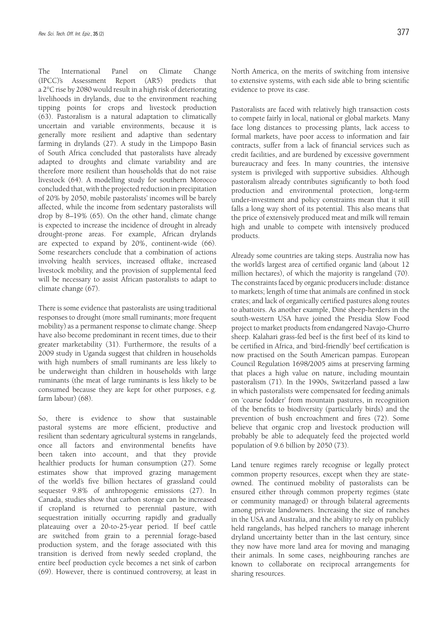The International Panel on Climate Change (IPCC)'s Assessment Report (AR5) predicts that a 2°C rise by 2080 would result in a high risk of deteriorating livelihoods in drylands, due to the environment reaching tipping points for crops and livestock production (63). Pastoralism is a natural adaptation to climatically uncertain and variable environments, because it is generally more resilient and adaptive than sedentary farming in drylands (27). A study in the Limpopo Basin of South Africa concluded that pastoralists have already adapted to droughts and climate variability and are therefore more resilient than households that do not raise livestock (64). A modelling study for southern Morocco concluded that, with the projected reduction in precipitation of 20% by 2050, mobile pastoralists' incomes will be barely affected, while the income from sedentary pastoralists will drop by 8–19% (65). On the other hand, climate change is expected to increase the incidence of drought in already drought-prone areas. For example, African drylands are expected to expand by 20%, continent-wide (66). Some researchers conclude that a combination of actions involving health services, increased offtake, increased livestock mobility, and the provision of supplemental feed will be necessary to assist African pastoralists to adapt to climate change (67).

There is some evidence that pastoralists are using traditional responses to drought (more small ruminants; more frequent mobility) as a permanent response to climate change. Sheep have also become predominant in recent times, due to their greater marketability (31). Furthermore, the results of a 2009 study in Uganda suggest that children in households with high numbers of small ruminants are less likely to be underweight than children in households with large ruminants (the meat of large ruminants is less likely to be consumed because they are kept for other purposes, e.g. farm labour) (68).

So, there is evidence to show that sustainable pastoral systems are more efficient, productive and resilient than sedentary agricultural systems in rangelands, once all factors and environmental benefits have been taken into account, and that they provide healthier products for human consumption (27). Some estimates show that improved grazing management of the world's five billion hectares of grassland could sequester 9.8% of anthropogenic emissions (27). In Canada, studies show that carbon storage can be increased if cropland is returned to perennial pasture, with sequestration initially occurring rapidly and gradually plateauing over a 20-to-25-year period. If beef cattle are switched from grain to a perennial forage-based production system, and the forage associated with this transition is derived from newly seeded cropland, the entire beef production cycle becomes a net sink of carbon (69). However, there is continued controversy, at least in

North America, on the merits of switching from intensive to extensive systems, with each side able to bring scientific evidence to prove its case.

Pastoralists are faced with relatively high transaction costs to compete fairly in local, national or global markets. Many face long distances to processing plants, lack access to formal markets, have poor access to information and fair contracts, suffer from a lack of financial services such as credit facilities, and are burdened by excessive government bureaucracy and fees. In many countries, the intensive system is privileged with supportive subsidies. Although pastoralism already contributes significantly to both food production and environmental protection, long-term under-investment and policy constraints mean that it still falls a long way short of its potential. This also means that the price of extensively produced meat and milk will remain high and unable to compete with intensively produced products.

Already some countries are taking steps. Australia now has the world's largest area of certified organic land (about 12 million hectares), of which the majority is rangeland (70). The constraints faced by organic producers include: distance to markets; length of time that animals are confined in stock crates; and lack of organically certified pastures along routes to abattoirs. As another example, Diné sheep-herders in the south-western USA have joined the Presidia Slow Food project to market products from endangered Navajo-Churro sheep. Kalahari grass-fed beef is the first beef of its kind to be certified in Africa, and 'bird-friendly' beef certification is now practised on the South American pampas. European Council Regulation 1698/2005 aims at preserving farming that places a high value on nature, including mountain pastoralism (71). In the 1990s, Switzerland passed a law in which pastoralists were compensated for feeding animals on 'coarse fodder' from mountain pastures, in recognition of the benefits to biodiversity (particularly birds) and the prevention of bush encroachment and fires (72). Some believe that organic crop and livestock production will probably be able to adequately feed the projected world population of 9.6 billion by 2050 (73).

Land tenure regimes rarely recognise or legally protect common property resources, except when they are stateowned. The continued mobility of pastoralists can be ensured either through common property regimes (state or community managed) or through bilateral agreements among private landowners. Increasing the size of ranches in the USA and Australia, and the ability to rely on publicly held rangelands, has helped ranchers to manage inherent dryland uncertainty better than in the last century, since they now have more land area for moving and managing their animals. In some cases, neighbouring ranches are known to collaborate on reciprocal arrangements for sharing resources.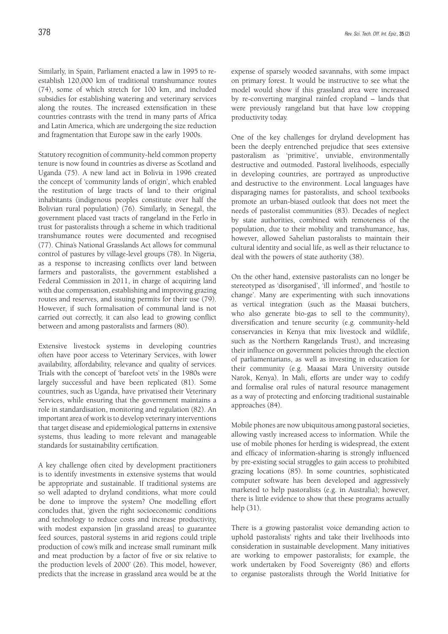Similarly, in Spain, Parliament enacted a law in 1995 to reestablish 120,000 km of traditional transhumance routes (74), some of which stretch for 100 km, and included subsidies for establishing watering and veterinary services along the routes. The increased extensification in these countries contrasts with the trend in many parts of Africa and Latin America, which are undergoing the size reduction and fragmentation that Europe saw in the early 1900s.

Statutory recognition of community-held common property tenure is now found in countries as diverse as Scotland and Uganda (75). A new land act in Bolivia in 1996 created the concept of 'community lands of origin', which enabled the restitution of large tracts of land to their original inhabitants (indigenous peoples constitute over half the Bolivian rural population) (76). Similarly, in Senegal, the government placed vast tracts of rangeland in the Ferlo in trust for pastoralists through a scheme in which traditional transhumance routes were documented and recognised (77). China's National Grasslands Act allows for communal control of pastures by village-level groups (78). In Nigeria, as a response to increasing conflicts over land between farmers and pastoralists, the government established a Federal Commission in 2011, in charge of acquiring land with due compensation, establishing and improving grazing routes and reserves, and issuing permits for their use (79). However, if such formalisation of communal land is not carried out correctly, it can also lead to growing conflict between and among pastoralists and farmers (80).

Extensive livestock systems in developing countries often have poor access to Veterinary Services, with lower availability, affordability, relevance and quality of services. Trials with the concept of 'barefoot vets' in the 1980s were largely successful and have been replicated (81). Some countries, such as Uganda, have privatised their Veterinary Services, while ensuring that the government maintains a role in standardisation, monitoring and regulation (82). An important area of work is to develop veterinary interventions that target disease and epidemiological patterns in extensive systems, thus leading to more relevant and manageable standards for sustainability certification.

A key challenge often cited by development practitioners is to identify investments in extensive systems that would be appropriate and sustainable. If traditional systems are so well adapted to dryland conditions, what more could be done to improve the system? One modelling effort concludes that, 'given the right socioeconomic conditions and technology to reduce costs and increase productivity, with modest expansion [in grassland areas] to guarantee feed sources, pastoral systems in arid regions could triple production of cow's milk and increase small ruminant milk and meat production by a factor of five or six relative to the production levels of 2000' (26). This model, however, predicts that the increase in grassland area would be at the

expense of sparsely wooded savannahs, with some impact on primary forest. It would be instructive to see what the model would show if this grassland area were increased by re-converting marginal rainfed cropland – lands that were previously rangeland but that have low cropping productivity today.

One of the key challenges for dryland development has been the deeply entrenched prejudice that sees extensive pastoralism as 'primitive', unviable, environmentally destructive and outmoded. Pastoral livelihoods, especially in developing countries, are portrayed as unproductive and destructive to the environment. Local languages have disparaging names for pastoralists, and school textbooks promote an urban-biased outlook that does not meet the needs of pastoralist communities (83). Decades of neglect by state authorities, combined with remoteness of the population, due to their mobility and transhumance, has, however, allowed Sahelian pastoralists to maintain their cultural identity and social life, as well as their reluctance to deal with the powers of state authority (38).

On the other hand, extensive pastoralists can no longer be stereotyped as 'disorganised', 'ill informed', and 'hostile to change'. Many are experimenting with such innovations as vertical integration (such as the Maasai butchers, who also generate bio-gas to sell to the community), diversification and tenure security (e.g. community-held conservancies in Kenya that mix livestock and wildlife, such as the Northern Rangelands Trust), and increasing their influence on government policies through the election of parliamentarians, as well as investing in education for their community (e.g. Maasai Mara University outside Narok, Kenya). In Mali, efforts are under way to codify and formalise oral rules of natural resource management as a way of protecting and enforcing traditional sustainable approaches (84).

Mobile phones are now ubiquitous among pastoral societies, allowing vastly increased access to information. While the use of mobile phones for herding is widespread, the extent and efficacy of information-sharing is strongly influenced by pre-existing social struggles to gain access to prohibited grazing locations (85). In some countries, sophisticated computer software has been developed and aggressively marketed to help pastoralists (e.g. in Australia); however, there is little evidence to show that these programs actually help (31).

There is a growing pastoralist voice demanding action to uphold pastoralists' rights and take their livelihoods into consideration in sustainable development. Many initiatives are working to empower pastoralists; for example, the work undertaken by Food Sovereignty (86) and efforts to organise pastoralists through the World Initiative for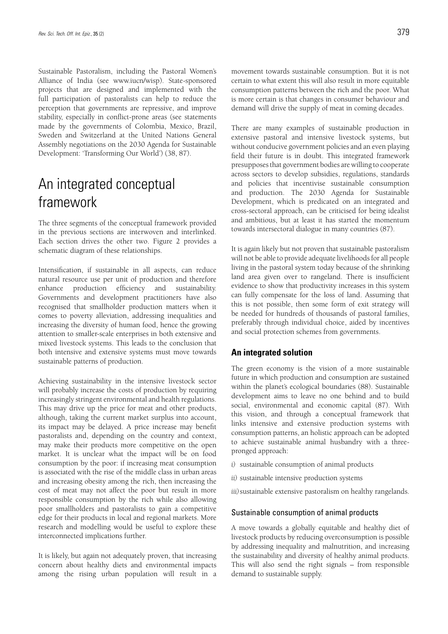Sustainable Pastoralism, including the Pastoral Women's Alliance of India (see www.iucn/wisp). State-sponsored projects that are designed and implemented with the full participation of pastoralists can help to reduce the perception that governments are repressive, and improve stability, especially in conflict-prone areas (see statements made by the governments of Colombia, Mexico, Brazil, Sweden and Switzerland at the United Nations General Assembly negotiations on the 2030 Agenda for Sustainable Development: 'Transforming Our World') (38, 87).

## An integrated conceptual framework

The three segments of the conceptual framework provided in the previous sections are interwoven and interlinked. Each section drives the other two. Figure 2 provides a schematic diagram of these relationships.

Intensification, if sustainable in all aspects, can reduce natural resource use per unit of production and therefore enhance production efficiency and sustainability. Governments and development practitioners have also recognised that smallholder production matters when it comes to poverty alleviation, addressing inequalities and increasing the diversity of human food, hence the growing attention to smaller-scale enterprises in both extensive and mixed livestock systems. This leads to the conclusion that both intensive and extensive systems must move towards sustainable patterns of production.

Achieving sustainability in the intensive livestock sector will probably increase the costs of production by requiring increasingly stringent environmental and health regulations. This may drive up the price for meat and other products, although, taking the current market surplus into account, its impact may be delayed. A price increase may benefit pastoralists and, depending on the country and context, may make their products more competitive on the open market. It is unclear what the impact will be on food consumption by the poor: if increasing meat consumption is associated with the rise of the middle class in urban areas and increasing obesity among the rich, then increasing the cost of meat may not affect the poor but result in more responsible consumption by the rich while also allowing poor smallholders and pastoralists to gain a competitive edge for their products in local and regional markets. More research and modelling would be useful to explore these interconnected implications further.

It is likely, but again not adequately proven, that increasing concern about healthy diets and environmental impacts among the rising urban population will result in a movement towards sustainable consumption. But it is not certain to what extent this will also result in more equitable consumption patterns between the rich and the poor. What is more certain is that changes in consumer behaviour and demand will drive the supply of meat in coming decades.

There are many examples of sustainable production in extensive pastoral and intensive livestock systems, but without conducive government policies and an even playing field their future is in doubt. This integrated framework presupposes that government bodies are willing to cooperate across sectors to develop subsidies, regulations, standards and policies that incentivise sustainable consumption and production. The 2030 Agenda for Sustainable Development, which is predicated on an integrated and cross-sectoral approach, can be criticised for being idealist and ambitious, but at least it has started the momentum towards intersectoral dialogue in many countries (87).

It is again likely but not proven that sustainable pastoralism will not be able to provide adequate livelihoods for all people living in the pastoral system today because of the shrinking land area given over to rangeland. There is insufficient evidence to show that productivity increases in this system can fully compensate for the loss of land. Assuming that this is not possible, then some form of exit strategy will be needed for hundreds of thousands of pastoral families, preferably through individual choice, aided by incentives and social protection schemes from governments.

### **An integrated solution**

The green economy is the vision of a more sustainable future in which production and consumption are sustained within the planet's ecological boundaries (88). Sustainable development aims to leave no one behind and to build social, environmental and economic capital (87). With this vision, and through a conceptual framework that links intensive and extensive production systems with consumption patterns, an holistic approach can be adopted to achieve sustainable animal husbandry with a threepronged approach:

- *i)* sustainable consumption of animal products
- *ii)* sustainable intensive production systems
- *iii)*sustainable extensive pastoralism on healthy rangelands.

#### Sustainable consumption of animal products

A move towards a globally equitable and healthy diet of livestock products by reducing overconsumption is possible by addressing inequality and malnutrition, and increasing the sustainability and diversity of healthy animal products. This will also send the right signals – from responsible demand to sustainable supply.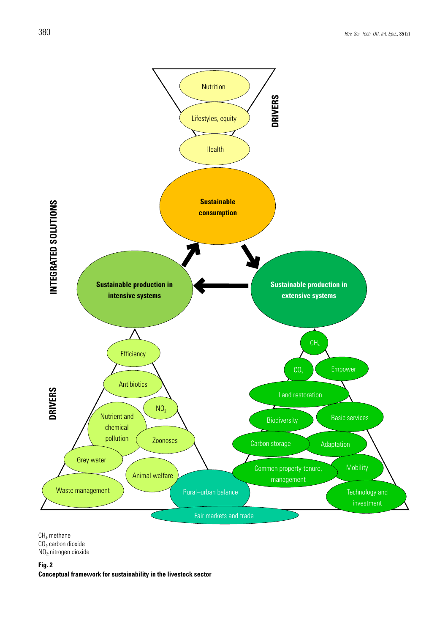

 $CH_{4}$ : methane

 $CO<sub>2</sub>$  carbon dioxide

NO2: nitrogen dioxide

**Fig. 2**

**Conceptual framework for sustainability in the livestock sector**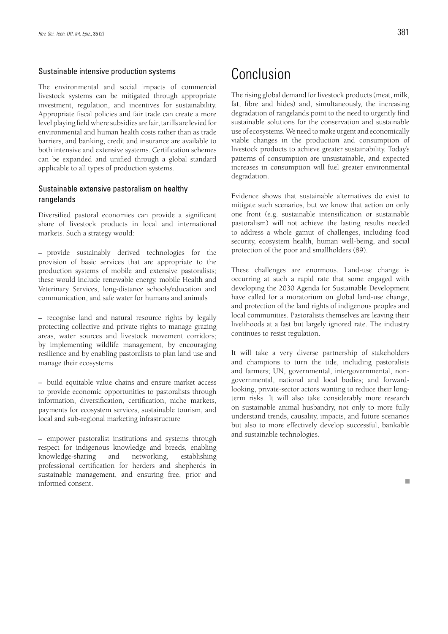### Sustainable intensive production systems

The environmental and social impacts of commercial livestock systems can be mitigated through appropriate investment, regulation, and incentives for sustainability. Appropriate fiscal policies and fair trade can create a more level playing field where subsidies are fair, tariffs are levied for environmental and human health costs rather than as trade barriers, and banking, credit and insurance are available to both intensive and extensive systems. Certification schemes can be expanded and unified through a global standard applicable to all types of production systems.

### Sustainable extensive pastoralism on healthy rangelands

Diversified pastoral economies can provide a significant share of livestock products in local and international markets. Such a strategy would:

*–* provide sustainably derived technologies for the provision of basic services that are appropriate to the production systems of mobile and extensive pastoralists; these would include renewable energy, mobile Health and Veterinary Services, long-distance schools/education and communication, and safe water for humans and animals

*–* recognise land and natural resource rights by legally protecting collective and private rights to manage grazing areas, water sources and livestock movement corridors; by implementing wildlife management, by encouraging resilience and by enabling pastoralists to plan land use and manage their ecosystems

*–* build equitable value chains and ensure market access to provide economic opportunities to pastoralists through information, diversification, certification, niche markets, payments for ecosystem services, sustainable tourism, and local and sub-regional marketing infrastructure

*–* empower pastoralist institutions and systems through respect for indigenous knowledge and breeds, enabling knowledge-sharing and networking, establishing professional certification for herders and shepherds in sustainable management, and ensuring free, prior and informed consent.

## Conclusion

The rising global demand for livestock products (meat, milk, fat, fibre and hides) and, simultaneously, the increasing degradation of rangelands point to the need to urgently find sustainable solutions for the conservation and sustainable use of ecosystems. We need to make urgent and economically viable changes in the production and consumption of livestock products to achieve greater sustainability. Today's patterns of consumption are unsustainable, and expected increases in consumption will fuel greater environmental degradation.

Evidence shows that sustainable alternatives do exist to mitigate such scenarios, but we know that action on only one front (e.g. sustainable intensification or sustainable pastoralism) will not achieve the lasting results needed to address a whole gamut of challenges, including food security, ecosystem health, human well-being, and social protection of the poor and smallholders (89).

These challenges are enormous. Land-use change is occurring at such a rapid rate that some engaged with developing the 2030 Agenda for Sustainable Development have called for a moratorium on global land-use change, and protection of the land rights of indigenous peoples and local communities. Pastoralists themselves are leaving their livelihoods at a fast but largely ignored rate. The industry continues to resist regulation.

It will take a very diverse partnership of stakeholders and champions to turn the tide, including pastoralists and farmers; UN, governmental, intergovernmental, nongovernmental, national and local bodies; and forwardlooking, private-sector actors wanting to reduce their longterm risks. It will also take considerably more research on sustainable animal husbandry, not only to more fully understand trends, causality, impacts, and future scenarios but also to more effectively develop successful, bankable and sustainable technologies.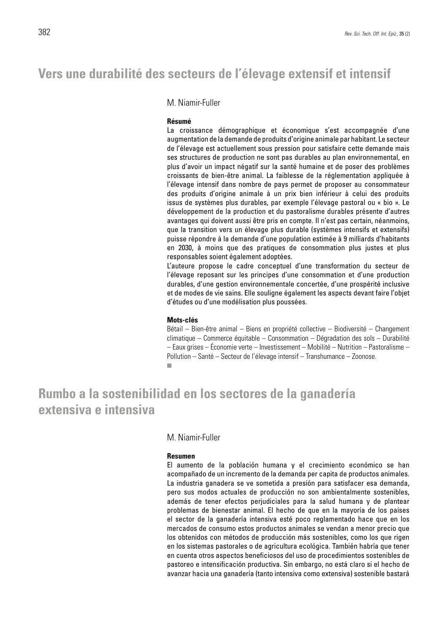## **Vers une durabilité des secteurs de l'élevage extensif et intensif**

### M. Niamir-Fuller

#### **Résumé**

La croissance démographique et économique s'est accompagnée d'une augmentation de la demande de produits d'origine animale par habitant. Le secteur de l'élevage est actuellement sous pression pour satisfaire cette demande mais ses structures de production ne sont pas durables au plan environnemental, en plus d'avoir un impact négatif sur la santé humaine et de poser des problèmes croissants de bien-être animal. La faiblesse de la réglementation appliquée à l'élevage intensif dans nombre de pays permet de proposer au consommateur des produits d'origine animale à un prix bien inférieur à celui des produits issus de systèmes plus durables, par exemple l'élevage pastoral ou « bio ». Le développement de la production et du pastoralisme durables présente d'autres avantages qui doivent aussi être pris en compte. Il n'est pas certain, néanmoins, que la transition vers un élevage plus durable (systèmes intensifs et extensifs) puisse répondre à la demande d'une population estimée à 9 milliards d'habitants en 2030, à moins que des pratiques de consommation plus justes et plus responsables soient également adoptées.

L'auteure propose le cadre conceptuel d'une transformation du secteur de l'élevage reposant sur les principes d'une consommation et d'une production durables, d'une gestion environnementale concertée, d'une prospérité inclusive et de modes de vie sains. Elle souligne également les aspects devant faire l'objet d'études ou d'une modélisation plus poussées.

#### **Mots-clés**

Bétail – Bien-être animal – Biens en propriété collective – Biodiversité – Changement climatique – Commerce équitable – Consommation – Dégradation des sols – Durabilité – Eaux grises – Économie verte – Investissement – Mobilité – Nutrition – Pastoralisme – Pollution – Santé – Secteur de l'élevage intensif – Transhumance – Zoonose.F

## **Rumbo a la sostenibilidad en los sectores de la ganadería extensiva e intensiva**

### M. Niamir-Fuller

#### **Resumen**

El aumento de la población humana y el crecimiento económico se han acompañado de un incremento de la demanda per capita de productos animales. La industria ganadera se ve sometida a presión para satisfacer esa demanda, pero sus modos actuales de producción no son ambientalmente sostenibles, además de tener efectos perjudiciales para la salud humana y de plantear problemas de bienestar animal. El hecho de que en la mayoría de los países el sector de la ganadería intensiva esté poco reglamentado hace que en los mercados de consumo estos productos animales se vendan a menor precio que los obtenidos con métodos de producción más sostenibles, como los que rigen en los sistemas pastorales o de agricultura ecológica. También habría que tener en cuenta otros aspectos beneficiosos del uso de procedimientos sostenibles de pastoreo e intensificación productiva. Sin embargo, no está claro si el hecho de avanzar hacia una ganadería (tanto intensiva como extensiva) sostenible bastará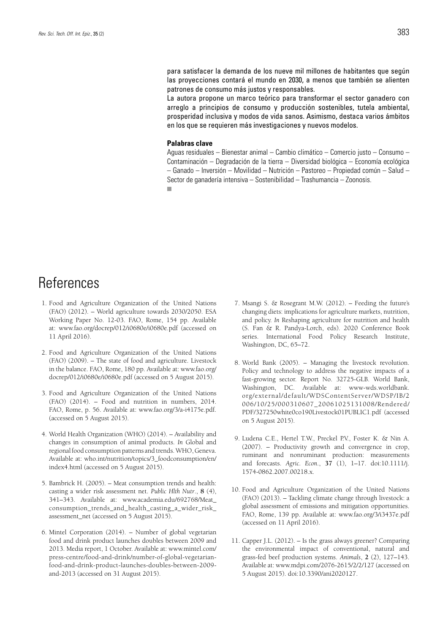para satisfacer la demanda de los nueve mil millones de habitantes que según las proyecciones contará el mundo en 2030, a menos que también se alienten patrones de consumo más justos y responsables.

La autora propone un marco teórico para transformar el sector ganadero con arreglo a principios de consumo y producción sostenibles, tutela ambiental, prosperidad inclusiva y modos de vida sanos. Asimismo, destaca varios ámbitos en los que se requieren más investigaciones y nuevos modelos.

### **Palabras clave**

Aguas residuales – Bienestar animal – Cambio climático – Comercio justo – Consumo – Contaminación – Degradación de la tierra – Diversidad biológica – Economía ecológica – Ganado – Inversión – Movilidad – Nutrición – Pastoreo – Propiedad común – Salud – Sector de ganadería intensiva – Sostenibilidad – Trashumancia – Zoonosis. ш

## References

- 1. Food and Agriculture Organization of the United Nations (FAO) (2012). – World agriculture towards 2030/2050. ESA Working Paper No. 12-03. FAO, Rome, 154 pp. Available at: www.fao.org/docrep/012/i0680e/i0680e.pdf (accessed on 11 April 2016).
- 2. Food and Agriculture Organization of the United Nations (FAO) (2009). – The state of food and agriculture. Livestock in the balance. FAO, Rome, 180 pp. Available at: www.fao.org/ docrep/012/i0680e/i0680e.pdf (accessed on 5 August 2015).
- 3. Food and Agriculture Organization of the United Nations (FAO) (2014). – Food and nutrition in numbers, 2014. FAO, Rome, p. 56. Available at: www.fao.org/3/a-i4175e.pdf. (accessed on 5 August 2015).
- 4. World Health Organization (WHO) (2014). Availability and changes in consumption of animal products. *In* Global and regional food consumption patterns and trends. WHO, Geneva. Available at: who.int/nutrition/topics/3\_foodconsumption/en/ index4.html (accessed on 5 August 2015).
- 5. Bambrick H. (2005). Meat consumption trends and health: casting a wider risk assessment net. *Public Hlth Nutr*., **8** (4), 341–343. Available at: www.academia.edu/692768/Meat\_ consumption\_trends\_and\_health\_casting\_a\_wider\_risk\_ assessment\_net (accessed on 5 August 2015).
- 6. Mintel Corporation (2014). Number of global vegetarian food and drink product launches doubles between 2009 and 2013. Media report, 1 October. Available at: www.mintel.com/ press-centre/food-and-drink/number-of-global-vegetarianfood-and-drink-product-launches-doubles-between-2009 and-2013 (accessed on 31 August 2015).
- 7. Msangi S. & Rosegrant M.W. (2012). Feeding the future's changing diets: implications for agriculture markets, nutrition, and policy. *In* Reshaping agriculture for nutrition and health (S. Fan & R. Pandya-Lorch, eds). 2020 Conference Book series. International Food Policy Research Institute, Washington, DC, 65–72.
- 8. World Bank (2005). Managing the livestock revolution. Policy and technology to address the negative impacts of a fast-growing sector. Report No. 32725-GLB. World Bank, Washington, DC. Available at: www-wds.worldbank. org/external/default/WDSContentServer/WDSP/IB/2 006/10/25/000310607\_20061025131008/Rendered/ PDF/327250white0co190Livestock01PUBLIC1.pdf (accessed on 5 August 2015).
- 9. Ludena C.E., Hertel T.W., Preckel P.V., Foster K. & Nin A. (2007). – Productivity growth and convergence in crop, ruminant and nonruminant production: measurements and forecasts. *Agric. Econ*., **37** (1), 1–17. doi:10.1111/j. 1574-0862.2007.00218.x.
- 10. Food and Agriculture Organization of the United Nations (FAO) (2013). – Tackling climate change through livestock: a global assessment of emissions and mitigation opportunities. FAO, Rome, 139 pp. Available at: www.fao.org/3/i3437e.pdf (accessed on 11 April 2016).
- 11. Capper J.L. (2012). Is the grass always greener? Comparing the environmental impact of conventional, natural and grass-fed beef production systems. *Animals*, **2** (2), 127–143. Available at: www.mdpi.com/2076-2615/2/2/127 (accessed on 5 August 2015). doi:10.3390/ani2020127.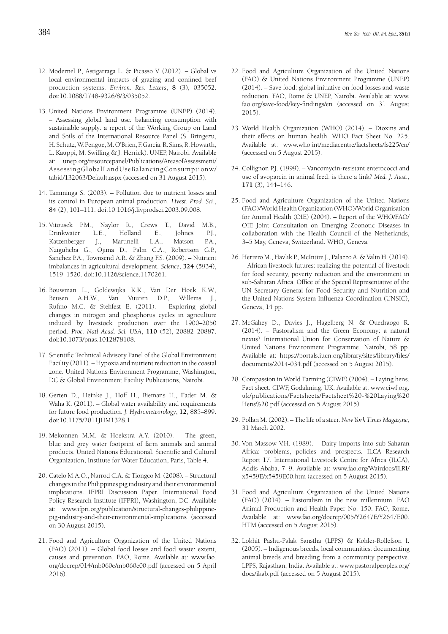- 12. Modernel P., Astigarraga L. & Picasso V. (2012). Global vs local environmental impacts of grazing and confined beef production systems. *Environ. Res. Letters*, **8** (3), 035052. doi:10.1088/1748-9326/8/3/035052.
- 13. United Nations Environment Programme (UNEP) (2014). – Assessing global land use: balancing consumption with sustainable supply: a report of the Working Group on Land and Soils of the International Resource Panel (S. Bringezu, H. Schütz, W. Pengue, M. O'Brien, F. Garcia, R. Sims, R. Howarth, L. Kauppi, M. Swilling & J. Herrick). UNEP, Nairobi. Available at: unep.org/resourcepanel/Publications/AreasofAssessment/ AssessingGlobalLandUseBalancingConsumptionw/ tabid/132063/Default.aspx (accessed on 31 August 2015).
- 14. Tamminga S. (2003). Pollution due to nutrient losses and its control in European animal production. *Livest. Prod. Sci*., **84** (2), 101–111. doi:10.1016/j.livprodsci.2003.09.008.
- 15. Vitousek P.M., Naylor R., Crews T., David M.B., Drinkwater L.E., Holland E., Johnes P.J., Katzenberger J., Martinelli L.A., Matson P.A., Nziguheba G., Ojima D., Palm C.A., Robertson G.P., Sanchez P.A., Townsend A.R. & Zhang F.S. (2009). – Nutrient imbalances in agricultural development. *Science*, **324** (5934), 1519–1520. doi:10.1126/science.1170261.
- 16. Bouwman L., Goldewijka K.K., Van Der Hoek K.W., Beusen A.H.W., Van Vuuren D.P., Willems J., Rufino M.C. & Stehfest E. (2011). – Exploring global changes in nitrogen and phosphorus cycles in agriculture induced by livestock production over the 1900–2050 period. *Proc. Natl Acad. Sci. USA*, **110** (52), 20882–20887. doi:10.1073/pnas.1012878108.
- 17. Scientific Technical Advisory Panel of the Global Environment Facility (2011). – Hypoxia and nutrient reduction in the coastal zone. United Nations Environment Programme, Washington, DC & Global Environment Facility Publications, Nairobi.
- 18. Gerten D., Heinke J., Hoff H., Biemans H., Fader M. & Waha K. (2011). – Global water availability and requirements for future food production. *J. Hydrometeorology*, **12**, 885–899. doi:10.1175/2011JHM1328.1.
- 19. Mekonnen M.M. & Hoekstra A.Y. (2010). The green, blue and grey water footprint of farm animals and animal products. United Nations Educational, Scientific and Cultural Organization, Institute for Water Education, Paris, Table 4.
- 20. Catelo M.A.O., Narrod C.A. & Tiongco M. (2008). Structural changes in the Philippines pig industry and their environmental implications. IFPRI Discussion Paper. International Food Policy Research Institute (IFPRI), Washington, DC. Available at: www.ifpri.org/publication/structural-changes-philippinepig-industry-and-their-environmental-implications (accessed on 30 August 2015).
- 21. Food and Agriculture Organization of the United Nations (FAO) (2011). – Global food losses and food waste: extent, causes and prevention. FAO, Rome. Available at: www.fao. org/docrep/014/mb060e/mb060e00.pdf (accessed on 5 April 2016).
- 22. Food and Agriculture Organization of the United Nations (FAO) & United Nations Environment Programme (UNEP) (2014). – Save food: global initiative on food losses and waste reduction. FAO, Rome & UNEP, Nairobi. Available at: www. fao.org/save-food/key-findings/en (accessed on 31 August 2015).
- 23. World Health Organization (WHO) (2014). Dioxins and their effects on human health. WHO Fact Sheet No. 225. Available at: www.who.int/mediacentre/factsheets/fs225/en/ (accessed on 5 August 2015).
- 24. Collignon P.J. (1999). Vancomycin-resistant enterococci and use of avoparcin in animal feed: is there a link? *Med. J. Aust*., **171** (3), 144–146.
- 25. Food and Agriculture Organization of the United Nations (FAO)/World Health Organization (WHO)/World Organisation for Animal Health (OIE) (2004). – Report of the WHO/FAO/ OIE Joint Consultation on Emerging Zoonotic Diseases in collaboration with the Health Council of the Netherlands, 3–5 May, Geneva, Switzerland. WHO, Geneva.
- 26. Herrero M., Havlik P., McIntire J., Palazzo A. & Valin H. (2014). – African livestock futures: realizing the potential of livestock for food security, poverty reduction and the environment in sub-Saharan Africa. Office of the Special Representative of the UN Secretary General for Food Security and Nutrition and the United Nations System Influenza Coordination (UNSIC), Geneva, 14 pp.
- 27. McGahey D., Davies J., Hagelberg N. & Ouedraogo R. (2014). – Pastoralism and the Green Economy: a natural nexus? International Union for Conservation of Nature & United Nations Environment Programme, Nairobi, 58 pp. Available at: https://portals.iucn.org/library/sites/library/files/ documents/2014-034.pdf (accessed on 5 August 2015).
- 28. Compassion in World Farming (CIWF) (2004). Laying hens. Fact sheet. CIWF, Godalming, UK. Available at: www.ciwf.org. uk/publications/Factsheets/Factsheet%20-%20Laying%20 Hens%20.pdf (accessed on 5 August 2015).
- 29. Pollan M. (2002). The life of a steer. *New York Times Magazine*, 31 March 2002.
- 30. Von Massow V.H. (1989). Dairy imports into sub-Saharan Africa: problems, policies and prospects. ILCA Research Report 17. International Livestock Centre for Africa (ILCA), Addis Ababa, 7–9. Available at: www.fao.org/Wairdocs/ILRI/ x5459E/x5459E00.htm (accessed on 5 August 2015).
- 31. Food and Agriculture Organization of the United Nations (FAO) (2014). – Pastoralism in the new millennium. FAO Animal Production and Health Paper No. 150. FAO, Rome. Available at: www.fao.org/docrep/005/Y2647E/Y2647E00. HTM (accessed on 5 August 2015).
- 32. Lokhit Pashu-Palak Sanstha (LPPS) & Köhler-Rollefson I. (2005). – Indigenous breeds, local communities: documenting animal breeds and breeding from a community perspective. LPPS, Rajasthan, India. Available at: www.pastoralpeoples.org/ docs/ikab.pdf (accessed on 5 August 2015).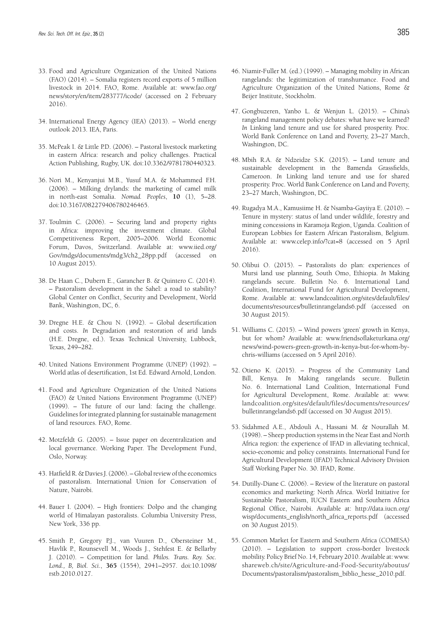- 33. Food and Agriculture Organization of the United Nations (FAO) (2014). – Somalia registers record exports of 5 million livestock in 2014. FAO, Rome. Available at: www.fao.org/ news/story/en/item/283777/icode/ (accessed on 2 February 2016).
- 34. International Energy Agency (IEA) (2013). World energy outlook 2013. IEA, Paris.
- 35. McPeak I. & Little P.D. (2006). Pastoral livestock marketing in eastern Africa: research and policy challenges. Practical Action Publishing, Rugby, UK. doi:10.3362/9781780440323.
- 36. Nori M., Kenyanjui M.B., Yusuf M.A. & Mohammed F.H. (2006). – Milking drylands: the marketing of camel milk in north-east Somalia. *Nomad. Peoples*, **10** (1), 5–28. doi:10.3167/082279406780246465.
- 37. Toulmin C. (2006). Securing land and property rights in Africa: improving the investment climate. Global Competitiveness Report, 2005–2006. World Economic Forum, Davos, Switzerland. Available at: www.iied.org/ Gov/mdgs/documents/mdg3/ch2\_28pp.pdf (accessed on 10 August 2015).
- 38. De Haan C., Dubern E., Garancher B. & Quintero C. (2014). – Pastoralism development in the Sahel: a road to stability? Global Center on Conflict, Security and Development, World Bank, Washington, DC, 6.
- 39. Dregne H.E. & Chou N. (1992). Global desertification and costs. *In* Degradation and restoration of arid lands (H.E. Dregne, ed.). Texas Technical University, Lubbock, Texas, 249–282.
- 40. United Nations Environment Programme (UNEP) (1992). World atlas of desertification, 1st Ed. Edward Arnold, London.
- 41. Food and Agriculture Organization of the United Nations (FAO) & United Nations Environment Programme (UNEP) (1999). – The future of our land: facing the challenge. Guidelines for integrated planning for sustainable management of land resources. FAO, Rome.
- 42. Motzfeldt G. (2005). Issue paper on decentralization and local governance. Working Paper. The Development Fund, Oslo, Norway.
- 43. Hatfield R. & Davies J. (2006). Global review of the economics of pastoralism. International Union for Conservation of Nature, Nairobi.
- 44. Bauer I. (2004). High frontiers: Dolpo and the changing world of Himalayan pastoralists. Columbia University Press, New York, 336 pp.
- 45. Smith P., Gregory P.J., van Vuuren D., Obersteiner M., Havlík P., Rounsevell M., Woods J., Stehfest E. & Bellarby J. (2010). – Competition for land. *Philos. Trans. Roy. Soc. Lond., B, Biol. Sci*., **365** (1554), 2941–2957. doi:10.1098/ rstb.2010.0127.
- 46. Niamir-Fuller M. (ed.) (1999). Managing mobility in African rangelands: the legitimization of transhumance. Food and Agriculture Organization of the United Nations, Rome & Beijer Institute, Stockholm.
- 47. Gongbuzeren, Yanbo L. & Wenjun L. (2015). China's rangeland management policy debates: what have we learned? *In* Linking land tenure and use for shared prosperity. Proc. World Bank Conference on Land and Poverty, 23–27 March, Washington, DC.
- 48. Mbih R.A. & Ndzeidze S.K. (2015). Land tenure and sustainable development in the Bamenda Grassfields, Cameroon. *In* Linking land tenure and use for shared prosperity. Proc. World Bank Conference on Land and Poverty, 23–27 March, Washington, DC.
- 49. Rugadya M.A., Kamusiime H. & Nsamba-Gayiiya E. (2010). Tenure in mystery: status of land under wildlife, forestry and mining concessions in Karamoja Region, Uganda. Coalition of European Lobbies for Eastern African Pastoralism, Belgium. Available at: www.celep.info/?cat=8 (accessed on 5 April 2016).
- 50. Olibui O. (2015). Pastoralists do plan: experiences of Mursi land use planning, South Omo, Ethiopia. *In* Making rangelands secure. Bulletin No. 6. International Land Coalition, International Fund for Agricultural Development, Rome. Available at: www.landcoalition.org/sites/default/files/ documents/resources/bulletinrangelands6.pdf (accessed on 30 August 2015).
- 51. Williams C. (2015). Wind powers 'green' growth in Kenya, but for whom? Available at: www.friendsoflaketurkana.org/ news/wind-powers-green-growth-in-kenya-but-for-whom-bychris-williams (accessed on 5 April 2016).
- 52. Otieno K. (2015). Progress of the Community Land Bill, Kenya. *In* Making rangelands secure. Bulletin No. 6. International Land Coalition, International Fund for Agricultural Development, Rome. Available at: www. landcoalition.org/sites/default/files/documents/resources/ bulletinrangelands6.pdf (accessed on 30 August 2015).
- 53. Sidahmed A.E., Abdouli A., Hassani M. & Nourallah M. (1998). – Sheep production systems in the Near East and North Africa region: the experience of IFAD in alleviating technical, socio-economic and policy constraints. International Fund for Agricultural Development (IFAD) Technical Advisory Division Staff Working Paper No. 30. IFAD, Rome.
- 54. Dutilly-Diane C. (2006). Review of the literature on pastoral economics and marketing: North Africa. World Initiative for Sustainable Pastoralism, IUCN Eastern and Southern Africa Regional Office, Nairobi. Available at: http://data.iucn.org/ wisp/documents\_english/north\_africa\_reports.pdf (accessed on 30 August 2015).
- 55. Common Market for Eastern and Southern Africa (COMESA) (2010). – Legislation to support cross-border livestock mobility. Policy Brief No. 14, February 2010. Available at: www. shareweb.ch/site/Agriculture-and-Food-Security/aboutus/ Documents/pastoralism/pastoralism\_biblio\_hesse\_2010.pdf.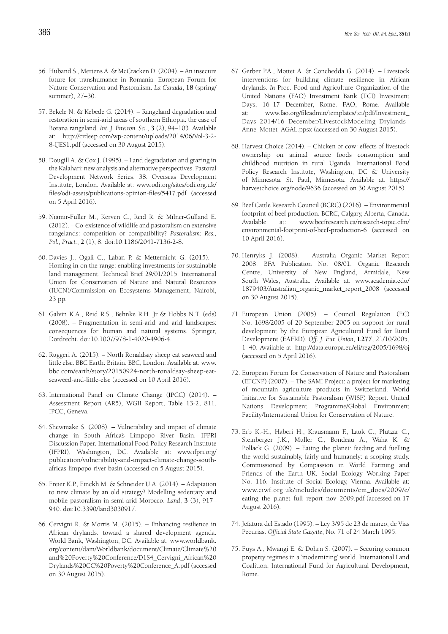- 56. Huband S., Mertens A. & McCracken D. (2004). An insecure future for transhumance in Romania. European Forum for Nature Conservation and Pastoralism. *La Cañada*, **18** (spring/ summer), 27–30.
- 57. Bekele N. & Kebede G. (2014). Rangeland degradation and restoration in semi-arid areas of southern Ethiopia: the case of Borana rangeland. *Int. J. Environ. Sci.*, **3** (2), 94–103. Available at: http://crdeep.com/wp-content/uploads/2014/06/Vol-3-2- 8-IJES1.pdf (accessed on 30 August 2015).
- 58. Dougill A. & Cox J. (1995). Land degradation and grazing in the Kalahari: new analysis and alternative perspectives. Pastoral Development Network Series, 38. Overseas Development Institute, London. Available at: www.odi.org/sites/odi.org.uk/ files/odi-assets/publications-opinion-files/5417.pdf (accessed on 5 April 2016).
- 59. Niamir-Fuller M., Kerven C., Reid R. & Milner-Gulland E. (2012). – Co-existence of wildlife and pastoralism on extensive rangelands: competition or compatibility? *Pastoralism: Res., Pol., Pract.*, **2** (1), 8. doi:10.1186/2041-7136-2-8.
- 60. Davies J., Ogali C., Laban P. & Metternicht G. (2015). Homing in on the range: enabling investments for sustainable land management. Technical Brief 29/01/2015. International Union for Conservation of Nature and Natural Resources (IUCN)/Commission on Ecosystems Management, Nairobi, 23 pp.
- 61. Galvin K.A., Reid R.S., Behnke R.H. Jr & Hobbs N.T. (eds) (2008). – Fragmentation in semi-arid and arid landscapes: consequences for human and natural systems. Springer, Dordrecht. doi:10.1007/978-1-4020-4906-4.
- 62. Ruggeri A. (2015). North Ronaldsay sheep eat seaweed and little else. BBC Earth: Britain. BBC, London. Available at: www. bbc.com/earth/story/20150924-north-ronaldsay-sheep-eatseaweed-and-little-else (accessed on 10 April 2016).
- 63. International Panel on Climate Change (IPCC) (2014). Assessment Report (AR5), WGII Report, Table 13-2, 811. IPCC, Geneva.
- 64. Shewmake S. (2008). Vulnerability and impact of climate change in South Africa's Limpopo River Basin. IFPRI Discussion Paper. International Food Policy Research Institute (IFPRI), Washington, DC. Available at: www.ifpri.org/ publication/vulnerability-and-impact-climate-change-southafricas-limpopo-river-basin (accessed on 5 August 2015).
- 65. Freier K.P., Finckh M. & Schneider U.A. (2014). Adaptation to new climate by an old strategy? Modelling sedentary and mobile pastoralism in semi-arid Morocco. *Land*, **3** (3), 917– 940. doi:10.3390/land3030917.
- 66. Cervigni R. & Morris M. (2015). Enhancing resilience in African drylands: toward a shared development agenda. World Bank, Washington, DC. Available at: www.worldbank. org/content/dam/Worldbank/document/Climate/Climate%20 and%20Poverty%20Conference/D1S4\_Cervigni\_African%20 Drylands%20CC%20Poverty%20Conference\_A.pdf (accessed on 30 August 2015).
- 67. Gerber P.A., Mottet A. & Conchedda G. (2014). Livestock interventions for building climate resilience in African drylands. *In* Proc. Food and Agriculture Organization of the United Nations (FAO) Investment Bank (TCI) Investment Days, 16–17 December, Rome. FAO, Rome. Available at: www.fao.org/fileadmin/templates/tci/pdf/Investment\_ Days\_2014/16\_December/LivestockModeling\_Drylands\_ Anne\_Mottet\_AGAL.ppsx (accessed on 30 August 2015).
- 68. Harvest Choice (2014). Chicken or cow: effects of livestock ownership on animal source foods consumption and childhood nutrition in rural Uganda. International Food Policy Research Institute, Washington, DC & University of Minnesota, St. Paul, Minnesota. Available at: https:// harvestchoice.org/node/9636 (accessed on 30 August 2015).
- 69. Beef Cattle Research Council (BCRC) (2016). Environmental footprint of beef production. BCRC, Calgary, Alberta, Canada. Available at: www.beefresearch.ca/research-topic.cfm/ environmental-footprint-of-beef-production-6 (accessed on 10 April 2016).
- 70. Henryks J. (2008). Australia Organic Market Report 2008. BFA Publication No. 08/01. Organic Research Centre, University of New England, Armidale, New South Wales, Australia. Available at: www.academia.edu/ 1879403/Australian\_organic\_market\_report\_2008 (accessed on 30 August 2015).
- 71. European Union (2005). Council Regulation (EC) No. 1698/2005 of 20 September 2005 on support for rural development by the European Agricultural Fund for Rural Development (EAFRD). *Off. J. Eur. Union*, **L277**, 21/10/2005, 1–40. Available at: http://data.europa.eu/eli/reg/2005/1698/oj (accessed on 5 April 2016).
- 72. European Forum for Conservation of Nature and Pastoralism (EFCNP) (2007). – The SAMI Project: a project for marketing of mountain agriculture products in Switzerland. World Initiative for Sustainable Pastoralism (WISP) Report. United Nations Development Programme/Global Environment Facility/International Union for Conservation of Nature.
- 73. Erb K.-H., Haberi H., Krausmann F., Lauk C., Plutzar C., Steinberger J.K., Müller C., Bondeau A., Waha K. & Pollack G. (2009). – Eating the planet: feeding and fuelling the world sustainably, fairly and humanely: a scoping study. Commissioned by Compassion in World Farming and Friends of the Earth UK. Social Ecology Working Paper No. 116. Institute of Social Ecology, Vienna. Available at: www.ciwf.org.uk/includes/documents/cm\_docs/2009/e/ eating\_the\_planet\_full\_report\_nov\_2009.pdf (accessed on 17 August 2016).
- 74. Jefatura del Estado (1995). Ley 3/95 de 23 de marzo, de Vias Pecurias. *Official State Gazette*, No. 71 of 24 March 1995.
- 75. Fuys A., Mwangi E. & Dohrn S. (2007). Securing common property regimes in a 'modernizing' world. International Land Coalition, International Fund for Agricultural Development, Rome.